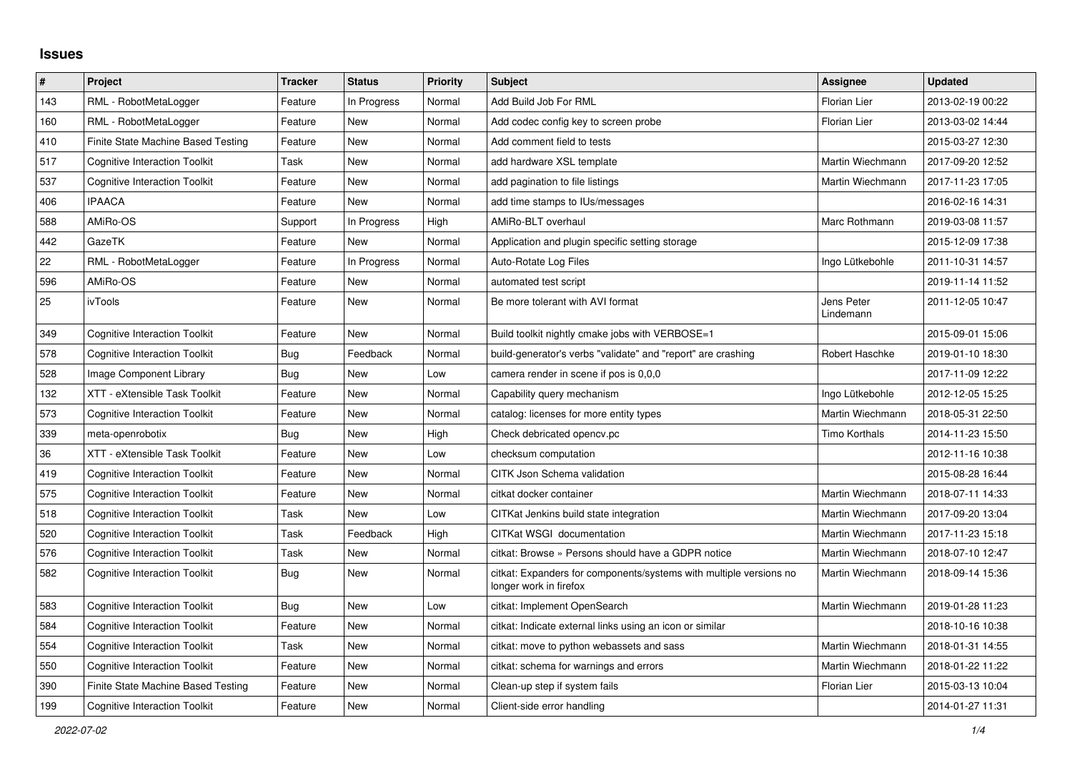## **Issues**

| $\pmb{\sharp}$ | Project                              | <b>Tracker</b> | <b>Status</b> | <b>Priority</b> | <b>Subject</b>                                                                               | Assignee                | <b>Updated</b>   |
|----------------|--------------------------------------|----------------|---------------|-----------------|----------------------------------------------------------------------------------------------|-------------------------|------------------|
| 143            | RML - RobotMetaLogger                | Feature        | In Progress   | Normal          | Add Build Job For RML                                                                        | <b>Florian Lier</b>     | 2013-02-19 00:22 |
| 160            | RML - RobotMetaLogger                | Feature        | <b>New</b>    | Normal          | Add codec config key to screen probe                                                         | Florian Lier            | 2013-03-02 14:44 |
| 410            | Finite State Machine Based Testing   | Feature        | New           | Normal          | Add comment field to tests                                                                   |                         | 2015-03-27 12:30 |
| 517            | <b>Cognitive Interaction Toolkit</b> | Task           | New           | Normal          | add hardware XSL template                                                                    | Martin Wiechmann        | 2017-09-20 12:52 |
| 537            | <b>Cognitive Interaction Toolkit</b> | Feature        | New           | Normal          | add pagination to file listings                                                              | Martin Wiechmann        | 2017-11-23 17:05 |
| 406            | <b>IPAACA</b>                        | Feature        | <b>New</b>    | Normal          | add time stamps to IUs/messages                                                              |                         | 2016-02-16 14:31 |
| 588            | AMiRo-OS                             | Support        | In Progress   | High            | AMiRo-BLT overhaul                                                                           | Marc Rothmann           | 2019-03-08 11:57 |
| 442            | GazeTK                               | Feature        | New           | Normal          | Application and plugin specific setting storage                                              |                         | 2015-12-09 17:38 |
| 22             | RML - RobotMetaLogger                | Feature        | In Progress   | Normal          | Auto-Rotate Log Files                                                                        | Ingo Lütkebohle         | 2011-10-31 14:57 |
| 596            | AMiRo-OS                             | Feature        | New           | Normal          | automated test script                                                                        |                         | 2019-11-14 11:52 |
| 25             | ivTools                              | Feature        | New           | Normal          | Be more tolerant with AVI format                                                             | Jens Peter<br>Lindemann | 2011-12-05 10:47 |
| 349            | <b>Cognitive Interaction Toolkit</b> | Feature        | <b>New</b>    | Normal          | Build toolkit nightly cmake jobs with VERBOSE=1                                              |                         | 2015-09-01 15:06 |
| 578            | <b>Cognitive Interaction Toolkit</b> | Bug            | Feedback      | Normal          | build-generator's verbs "validate" and "report" are crashing                                 | Robert Haschke          | 2019-01-10 18:30 |
| 528            | Image Component Library              | <b>Bug</b>     | New           | Low             | camera render in scene if pos is 0.0.0                                                       |                         | 2017-11-09 12:22 |
| 132            | XTT - eXtensible Task Toolkit        | Feature        | New           | Normal          | Capability query mechanism                                                                   | Ingo Lütkebohle         | 2012-12-05 15:25 |
| 573            | <b>Cognitive Interaction Toolkit</b> | Feature        | <b>New</b>    | Normal          | catalog: licenses for more entity types                                                      | Martin Wiechmann        | 2018-05-31 22:50 |
| 339            | meta-openrobotix                     | Bug            | New           | High            | Check debricated opency.pc                                                                   | Timo Korthals           | 2014-11-23 15:50 |
| 36             | XTT - eXtensible Task Toolkit        | Feature        | New           | Low             | checksum computation                                                                         |                         | 2012-11-16 10:38 |
| 419            | <b>Cognitive Interaction Toolkit</b> | Feature        | <b>New</b>    | Normal          | CITK Json Schema validation                                                                  |                         | 2015-08-28 16:44 |
| 575            | <b>Cognitive Interaction Toolkit</b> | Feature        | New           | Normal          | citkat docker container                                                                      | Martin Wiechmann        | 2018-07-11 14:33 |
| 518            | <b>Cognitive Interaction Toolkit</b> | Task           | <b>New</b>    | Low             | CITKat Jenkins build state integration                                                       | Martin Wiechmann        | 2017-09-20 13:04 |
| 520            | <b>Cognitive Interaction Toolkit</b> | Task           | Feedback      | High            | CITKat WSGI documentation                                                                    | Martin Wiechmann        | 2017-11-23 15:18 |
| 576            | <b>Cognitive Interaction Toolkit</b> | Task           | New           | Normal          | citkat: Browse » Persons should have a GDPR notice                                           | Martin Wiechmann        | 2018-07-10 12:47 |
| 582            | <b>Cognitive Interaction Toolkit</b> | Bug            | New           | Normal          | citkat: Expanders for components/systems with multiple versions no<br>longer work in firefox | Martin Wiechmann        | 2018-09-14 15:36 |
| 583            | Cognitive Interaction Toolkit        | Bug            | New           | Low             | citkat: Implement OpenSearch                                                                 | Martin Wiechmann        | 2019-01-28 11:23 |
| 584            | <b>Cognitive Interaction Toolkit</b> | Feature        | New           | Normal          | citkat: Indicate external links using an icon or similar                                     |                         | 2018-10-16 10:38 |
| 554            | <b>Cognitive Interaction Toolkit</b> | Task           | New           | Normal          | citkat: move to python webassets and sass                                                    | Martin Wiechmann        | 2018-01-31 14:55 |
| 550            | <b>Cognitive Interaction Toolkit</b> | Feature        | New           | Normal          | citkat: schema for warnings and errors                                                       | Martin Wiechmann        | 2018-01-22 11:22 |
| 390            | Finite State Machine Based Testing   | Feature        | New           | Normal          | Clean-up step if system fails                                                                | Florian Lier            | 2015-03-13 10:04 |
| 199            | <b>Cognitive Interaction Toolkit</b> | Feature        | New           | Normal          | Client-side error handling                                                                   |                         | 2014-01-27 11:31 |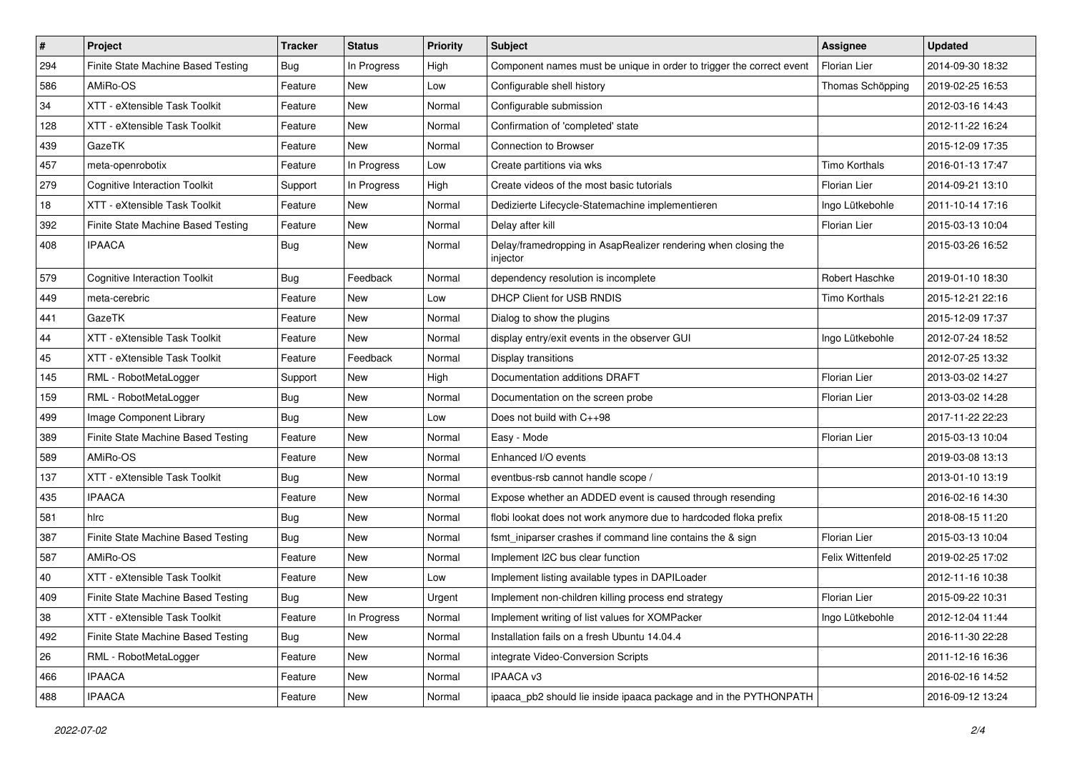| #   | Project                              | <b>Tracker</b> | <b>Status</b> | <b>Priority</b> | Subject                                                                    | <b>Assignee</b>      | <b>Updated</b>   |
|-----|--------------------------------------|----------------|---------------|-----------------|----------------------------------------------------------------------------|----------------------|------------------|
| 294 | Finite State Machine Based Testing   | Bug            | In Progress   | High            | Component names must be unique in order to trigger the correct event       | Florian Lier         | 2014-09-30 18:32 |
| 586 | AMiRo-OS                             | Feature        | New           | Low             | Configurable shell history                                                 | Thomas Schöpping     | 2019-02-25 16:53 |
| 34  | XTT - eXtensible Task Toolkit        | Feature        | New           | Normal          | Configurable submission                                                    |                      | 2012-03-16 14:43 |
| 128 | XTT - eXtensible Task Toolkit        | Feature        | New           | Normal          | Confirmation of 'completed' state                                          |                      | 2012-11-22 16:24 |
| 439 | GazeTK                               | Feature        | New           | Normal          | Connection to Browser                                                      |                      | 2015-12-09 17:35 |
| 457 | meta-openrobotix                     | Feature        | In Progress   | Low             | Create partitions via wks                                                  | <b>Timo Korthals</b> | 2016-01-13 17:47 |
| 279 | <b>Cognitive Interaction Toolkit</b> | Support        | In Progress   | High            | Create videos of the most basic tutorials                                  | <b>Florian Lier</b>  | 2014-09-21 13:10 |
| 18  | XTT - eXtensible Task Toolkit        | Feature        | New           | Normal          | Dedizierte Lifecycle-Statemachine implementieren                           | Ingo Lütkebohle      | 2011-10-14 17:16 |
| 392 | Finite State Machine Based Testing   | Feature        | New           | Normal          | Delay after kill                                                           | Florian Lier         | 2015-03-13 10:04 |
| 408 | <b>IPAACA</b>                        | Bug            | New           | Normal          | Delay/framedropping in AsapRealizer rendering when closing the<br>injector |                      | 2015-03-26 16:52 |
| 579 | <b>Cognitive Interaction Toolkit</b> | <b>Bug</b>     | Feedback      | Normal          | dependency resolution is incomplete                                        | Robert Haschke       | 2019-01-10 18:30 |
| 449 | meta-cerebric                        | Feature        | New           | Low             | DHCP Client for USB RNDIS                                                  | <b>Timo Korthals</b> | 2015-12-21 22:16 |
| 441 | GazeTK                               | Feature        | New           | Normal          | Dialog to show the plugins                                                 |                      | 2015-12-09 17:37 |
| 44  | XTT - eXtensible Task Toolkit        | Feature        | New           | Normal          | display entry/exit events in the observer GUI                              | Ingo Lütkebohle      | 2012-07-24 18:52 |
| 45  | XTT - eXtensible Task Toolkit        | Feature        | Feedback      | Normal          | Display transitions                                                        |                      | 2012-07-25 13:32 |
| 145 | RML - RobotMetaLogger                | Support        | New           | High            | Documentation additions DRAFT                                              | Florian Lier         | 2013-03-02 14:27 |
| 159 | RML - RobotMetaLogger                | Bug            | New           | Normal          | Documentation on the screen probe                                          | Florian Lier         | 2013-03-02 14:28 |
| 499 | Image Component Library              | Bug            | New           | Low             | Does not build with C++98                                                  |                      | 2017-11-22 22:23 |
| 389 | Finite State Machine Based Testing   | Feature        | New           | Normal          | Easy - Mode                                                                | Florian Lier         | 2015-03-13 10:04 |
| 589 | AMiRo-OS                             | Feature        | New           | Normal          | Enhanced I/O events                                                        |                      | 2019-03-08 13:13 |
| 137 | XTT - eXtensible Task Toolkit        | Bug            | New           | Normal          | eventbus-rsb cannot handle scope /                                         |                      | 2013-01-10 13:19 |
| 435 | <b>IPAACA</b>                        | Feature        | New           | Normal          | Expose whether an ADDED event is caused through resending                  |                      | 2016-02-16 14:30 |
| 581 | hirc                                 | Bug            | New           | Normal          | flobi lookat does not work anymore due to hardcoded floka prefix           |                      | 2018-08-15 11:20 |
| 387 | Finite State Machine Based Testing   | Bug            | New           | Normal          | fsmt_iniparser crashes if command line contains the & sign                 | Florian Lier         | 2015-03-13 10:04 |
| 587 | AMiRo-OS                             | Feature        | New           | Normal          | Implement I2C bus clear function                                           | Felix Wittenfeld     | 2019-02-25 17:02 |
| 40  | XTT - eXtensible Task Toolkit        | Feature        | New           | Low             | Implement listing available types in DAPILoader                            |                      | 2012-11-16 10:38 |
| 409 | Finite State Machine Based Testing   | <b>Bug</b>     | New           | Urgent          | Implement non-children killing process end strategy                        | Florian Lier         | 2015-09-22 10:31 |
| 38  | XTT - eXtensible Task Toolkit        | Feature        | In Progress   | Normal          | Implement writing of list values for XOMPacker                             | Ingo Lütkebohle      | 2012-12-04 11:44 |
| 492 | Finite State Machine Based Testing   | Bug            | New           | Normal          | Installation fails on a fresh Ubuntu 14.04.4                               |                      | 2016-11-30 22:28 |
| 26  | RML - RobotMetaLogger                | Feature        | New           | Normal          | integrate Video-Conversion Scripts                                         |                      | 2011-12-16 16:36 |
| 466 | <b>IPAACA</b>                        | Feature        | New           | Normal          | IPAACA v3                                                                  |                      | 2016-02-16 14:52 |
| 488 | <b>IPAACA</b>                        | Feature        | New           | Normal          | ipaaca_pb2 should lie inside ipaaca package and in the PYTHONPATH          |                      | 2016-09-12 13:24 |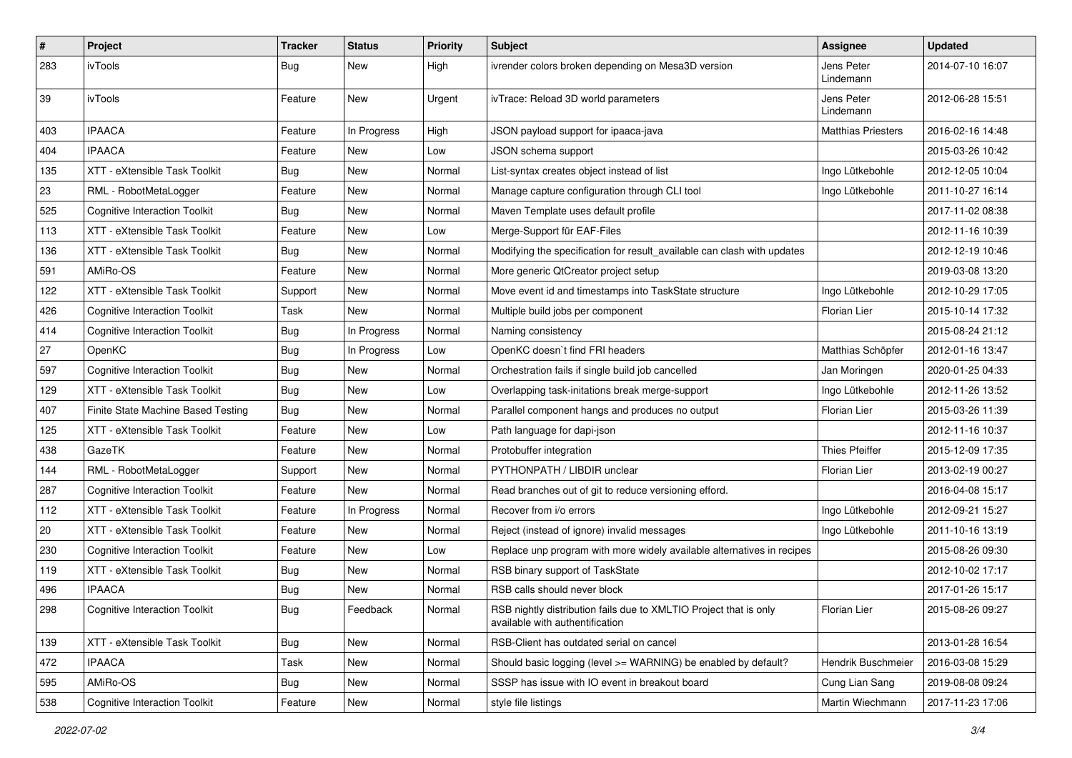| #   | Project                              | <b>Tracker</b> | <b>Status</b> | <b>Priority</b> | <b>Subject</b>                                                                                       | Assignee                  | <b>Updated</b>   |
|-----|--------------------------------------|----------------|---------------|-----------------|------------------------------------------------------------------------------------------------------|---------------------------|------------------|
| 283 | ivTools                              | Bug            | New           | High            | ivrender colors broken depending on Mesa3D version                                                   | Jens Peter<br>Lindemann   | 2014-07-10 16:07 |
| 39  | ivTools                              | Feature        | <b>New</b>    | Urgent          | ivTrace: Reload 3D world parameters                                                                  | Jens Peter<br>Lindemann   | 2012-06-28 15:51 |
| 403 | <b>IPAACA</b>                        | Feature        | In Progress   | High            | JSON payload support for ipaaca-java                                                                 | <b>Matthias Priesters</b> | 2016-02-16 14:48 |
| 404 | <b>IPAACA</b>                        | Feature        | New           | Low             | JSON schema support                                                                                  |                           | 2015-03-26 10:42 |
| 135 | XTT - eXtensible Task Toolkit        | Bug            | <b>New</b>    | Normal          | List-syntax creates object instead of list                                                           | Ingo Lütkebohle           | 2012-12-05 10:04 |
| 23  | RML - RobotMetaLogger                | Feature        | New           | Normal          | Manage capture configuration through CLI tool                                                        | Ingo Lütkebohle           | 2011-10-27 16:14 |
| 525 | <b>Cognitive Interaction Toolkit</b> | Bug            | New           | Normal          | Maven Template uses default profile                                                                  |                           | 2017-11-02 08:38 |
| 113 | XTT - eXtensible Task Toolkit        | Feature        | New           | Low             | Merge-Support für EAF-Files                                                                          |                           | 2012-11-16 10:39 |
| 136 | XTT - eXtensible Task Toolkit        | Bug            | New           | Normal          | Modifying the specification for result_available can clash with updates                              |                           | 2012-12-19 10:46 |
| 591 | AMiRo-OS                             | Feature        | New           | Normal          | More generic QtCreator project setup                                                                 |                           | 2019-03-08 13:20 |
| 122 | XTT - eXtensible Task Toolkit        | Support        | New           | Normal          | Move event id and timestamps into TaskState structure                                                | Ingo Lütkebohle           | 2012-10-29 17:05 |
| 426 | <b>Cognitive Interaction Toolkit</b> | Task           | <b>New</b>    | Normal          | Multiple build jobs per component                                                                    | Florian Lier              | 2015-10-14 17:32 |
| 414 | <b>Cognitive Interaction Toolkit</b> | Bug            | In Progress   | Normal          | Naming consistency                                                                                   |                           | 2015-08-24 21:12 |
| 27  | OpenKC                               | Bug            | In Progress   | Low             | OpenKC doesn't find FRI headers                                                                      | Matthias Schöpfer         | 2012-01-16 13:47 |
| 597 | <b>Cognitive Interaction Toolkit</b> | Bug            | <b>New</b>    | Normal          | Orchestration fails if single build job cancelled                                                    | Jan Moringen              | 2020-01-25 04:33 |
| 129 | XTT - eXtensible Task Toolkit        | Bug            | New           | Low             | Overlapping task-initations break merge-support                                                      | Ingo Lütkebohle           | 2012-11-26 13:52 |
| 407 | Finite State Machine Based Testing   | Bug            | New           | Normal          | Parallel component hangs and produces no output                                                      | Florian Lier              | 2015-03-26 11:39 |
| 125 | XTT - eXtensible Task Toolkit        | Feature        | New           | Low             | Path language for dapi-json                                                                          |                           | 2012-11-16 10:37 |
| 438 | GazeTK                               | Feature        | New           | Normal          | Protobuffer integration                                                                              | <b>Thies Pfeiffer</b>     | 2015-12-09 17:35 |
| 144 | RML - RobotMetaLogger                | Support        | New           | Normal          | PYTHONPATH / LIBDIR unclear                                                                          | Florian Lier              | 2013-02-19 00:27 |
| 287 | <b>Cognitive Interaction Toolkit</b> | Feature        | <b>New</b>    | Normal          | Read branches out of git to reduce versioning efford.                                                |                           | 2016-04-08 15:17 |
| 112 | XTT - eXtensible Task Toolkit        | Feature        | In Progress   | Normal          | Recover from i/o errors                                                                              | Ingo Lütkebohle           | 2012-09-21 15:27 |
| 20  | XTT - eXtensible Task Toolkit        | Feature        | <b>New</b>    | Normal          | Reject (instead of ignore) invalid messages                                                          | Ingo Lütkebohle           | 2011-10-16 13:19 |
| 230 | <b>Cognitive Interaction Toolkit</b> | Feature        | New           | Low             | Replace unp program with more widely available alternatives in recipes                               |                           | 2015-08-26 09:30 |
| 119 | XTT - eXtensible Task Toolkit        | Bug            | New           | Normal          | RSB binary support of TaskState                                                                      |                           | 2012-10-02 17:17 |
| 496 | <b>IPAACA</b>                        | Bug            | <b>New</b>    | Normal          | RSB calls should never block                                                                         |                           | 2017-01-26 15:17 |
| 298 | <b>Cognitive Interaction Toolkit</b> | Bug            | Feedback      | Normal          | RSB nightly distribution fails due to XMLTIO Project that is only<br>available with authentification | Florian Lier              | 2015-08-26 09:27 |
| 139 | XTT - eXtensible Task Toolkit        | Bug            | New           | Normal          | RSB-Client has outdated serial on cancel                                                             |                           | 2013-01-28 16:54 |
| 472 | <b>IPAACA</b>                        | Task           | New           | Normal          | Should basic logging (level >= WARNING) be enabled by default?                                       | Hendrik Buschmeier        | 2016-03-08 15:29 |
| 595 | AMiRo-OS                             | <b>Bug</b>     | <b>New</b>    | Normal          | SSSP has issue with IO event in breakout board                                                       | Cung Lian Sang            | 2019-08-08 09:24 |
| 538 | <b>Cognitive Interaction Toolkit</b> | Feature        | New           | Normal          | style file listings                                                                                  | Martin Wiechmann          | 2017-11-23 17:06 |